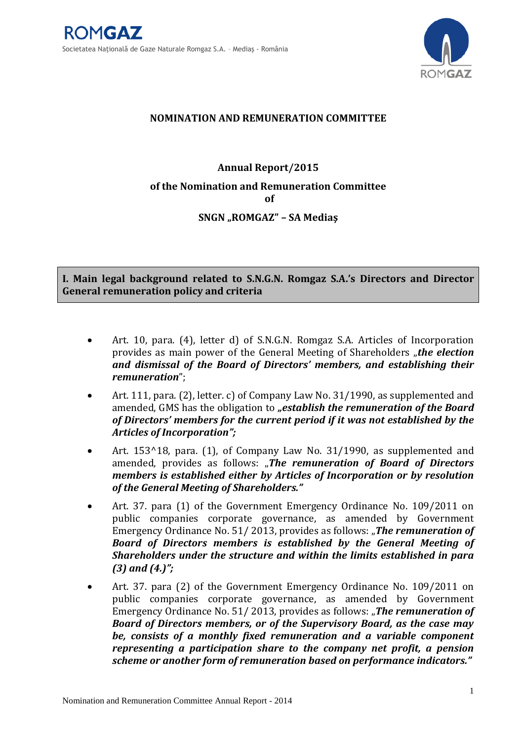

# **NOMINATION AND REMUNERATION COMMITTEE**

# **Annual Report/2015 of the Nomination and Remuneration Committee of SNGN "ROMGAZ" – SA Mediaş**

**I. Main legal background related to S.N.G.N. Romgaz S.A.'s Directors and Director General remuneration policy and criteria**

- Art. 10, para. (4), letter d) of S.N.G.N. Romgaz S.A. Articles of Incorporation provides as main power of the General Meeting of Shareholders "*the election and dismissal of the Board of Directors' members, and establishing their remuneration*";
- Art. 111, para. (2), letter. c) of Company Law No. 31/1990, as supplemented and amended, GMS has the obligation to *"establish the remuneration of the Board of Directors' members for the current period if it was not established by the Articles of Incorporation";*
- Art. 153^18, para. (1), of Company Law No. 31/1990, as supplemented and amended, provides as follows: "*The remuneration of Board of Directors members is established either by Articles of Incorporation or by resolution of the General Meeting of Shareholders."*
- Art. 37. para (1) of the Government Emergency Ordinance No. 109/2011 on public companies corporate governance, as amended by Government Emergency Ordinance No. 51/2013, provides as follows: "**The remuneration of** *Board of Directors members is established by the General Meeting of Shareholders under the structure and within the limits established in para (3) and (4.)";*
- Art. 37. para (2) of the Government Emergency Ordinance No. 109/2011 on public companies corporate governance, as amended by Government Emergency Ordinance No. 51/2013, provides as follows: "**The remuneration of** *Board of Directors members, or of the Supervisory Board, as the case may be, consists of a monthly fixed remuneration and a variable component representing a participation share to the company net profit, a pension scheme or another form of remuneration based on performance indicators."*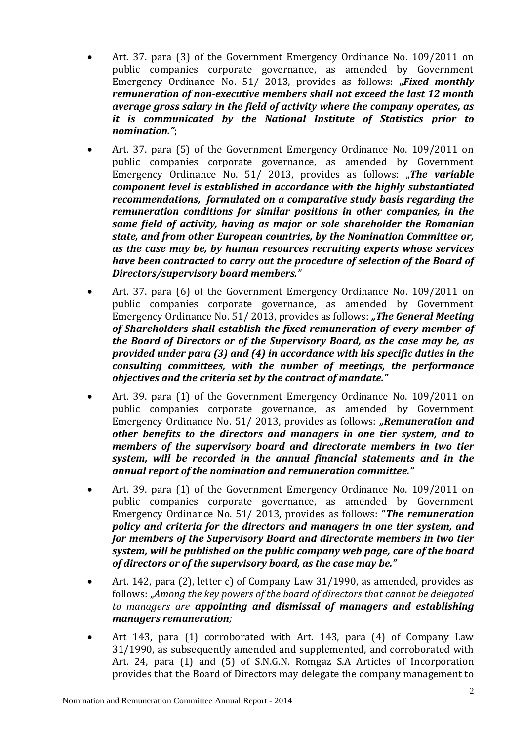- Art. 37. para (3) of the Government Emergency Ordinance No. 109/2011 on public companies corporate governance, as amended by Government Emergency Ordinance No. 51/ 2013, provides as follows: "Fixed monthly *remuneration of non-executive members shall not exceed the last 12 month average gross salary in the field of activity where the company operates, as it is communicated by the National Institute of Statistics prior to nomination."*;
- Art. 37. para (5) of the Government Emergency Ordinance No. 109/2011 on public companies corporate governance, as amended by Government Emergency Ordinance No. 51/ 2013, provides as follows: "**The variable** *component level is established in accordance with the highly substantiated recommendations, formulated on a comparative study basis regarding the remuneration conditions for similar positions in other companies, in the same field of activity, having as major or sole shareholder the Romanian state, and from other European countries, by the Nomination Committee or, as the case may be, by human resources recruiting experts whose services have been contracted to carry out the procedure of selection of the Board of Directors/supervisory board members."*
- Art. 37. para (6) of the Government Emergency Ordinance No. 109/2011 on public companies corporate governance, as amended by Government Emergency Ordinance No. 51/2013, provides as follows: "**The General Meeting** *of Shareholders shall establish the fixed remuneration of every member of the Board of Directors or of the Supervisory Board, as the case may be, as provided under para (3) and (4) in accordance with his specific duties in the consulting committees, with the number of meetings, the performance objectives and the criteria set by the contract of mandate."*
- Art. 39. para (1) of the Government Emergency Ordinance No. 109/2011 on public companies corporate governance, as amended by Government Emergency Ordinance No. 51/ 2013, provides as follows: *"Remuneration and other benefits to the directors and managers in one tier system, and to members of the supervisory board and directorate members in two tier system, will be recorded in the annual financial statements and in the annual report of the nomination and remuneration committee."*
- Art. 39. para (1) of the Government Emergency Ordinance No. 109/2011 on public companies corporate governance, as amended by Government Emergency Ordinance No. 51/ 2013, provides as follows: **"***The remuneration policy and criteria for the directors and managers in one tier system, and for members of the Supervisory Board and directorate members in two tier system, will be published on the public company web page, care of the board of directors or of the supervisory board, as the case may be."*
- Art. 142, para (2), letter c) of Company Law 31/1990, as amended, provides as follows: "*Among the key powers of the board of directors that cannot be delegated to managers are appointing and dismissal of managers and establishing managers remuneration;*
- Art 143, para (1) corroborated with Art. 143, para (4) of Company Law 31/1990, as subsequently amended and supplemented, and corroborated with Art. 24, para (1) and (5) of S.N.G.N. Romgaz S.A Articles of Incorporation provides that the Board of Directors may delegate the company management to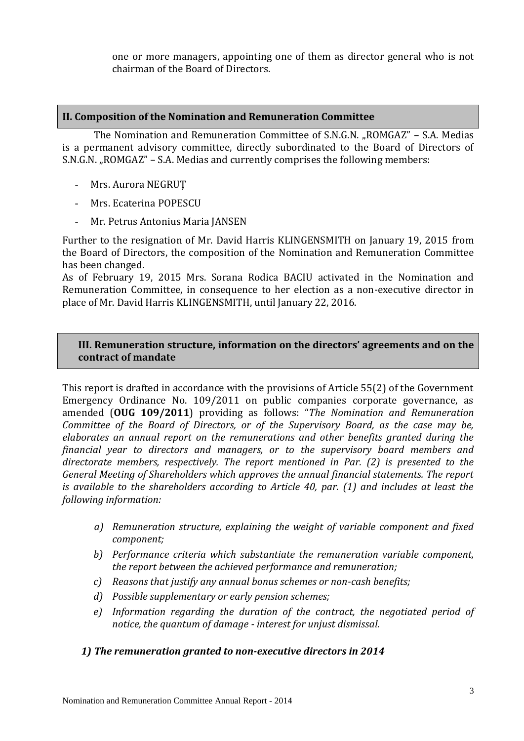one or more managers, appointing one of them as director general who is not chairman of the Board of Directors.

#### **II. Composition of the Nomination and Remuneration Committee**

The Nomination and Remuneration Committee of S.N.G.N. "ROMGAZ" - S.A. Medias is a permanent advisory committee, directly subordinated to the Board of Directors of S.N.G.N. "ROMGAZ" – S.A. Medias and currently comprises the following members:

- Mrs. Aurora NEGRUŢ
- Mrs. Ecaterina POPESCU
- Mr. Petrus Antonius Maria JANSEN

Further to the resignation of Mr. David Harris KLINGENSMITH on January 19, 2015 from the Board of Directors, the composition of the Nomination and Remuneration Committee has been changed.

As of February 19, 2015 Mrs. Sorana Rodica BACIU activated in the Nomination and Remuneration Committee, in consequence to her election as a non-executive director in place of Mr. David Harris KLINGENSMITH, until January 22, 2016.

## **III. Remuneration structure, information on the directors' agreements and on the contract of mandate**

This report is drafted in accordance with the provisions of Article 55(2) of the Government Emergency Ordinance No. 109/2011 on public companies corporate governance, as amended (**OUG 109/2011**) providing as follows: "*The Nomination and Remuneration Committee of the Board of Directors, or of the Supervisory Board, as the case may be, elaborates an annual report on the remunerations and other benefits granted during the financial year to directors and managers, or to the supervisory board members and directorate members, respectively. The report mentioned in Par. (2) is presented to the General Meeting of Shareholders which approves the annual financial statements. The report is available to the shareholders according to Article 40, par. (1) and includes at least the following information:*

- *a) Remuneration structure, explaining the weight of variable component and fixed component;*
- *b) Performance criteria which substantiate the remuneration variable component, the report between the achieved performance and remuneration;*
- *c) Reasons that justify any annual bonus schemes or non-cash benefits;*
- *d) Possible supplementary or early pension schemes;*
- *e) Information regarding the duration of the contract, the negotiated period of notice, the quantum of damage - interest for unjust dismissal.*

## *1) The remuneration granted to non-executive directors in 2014*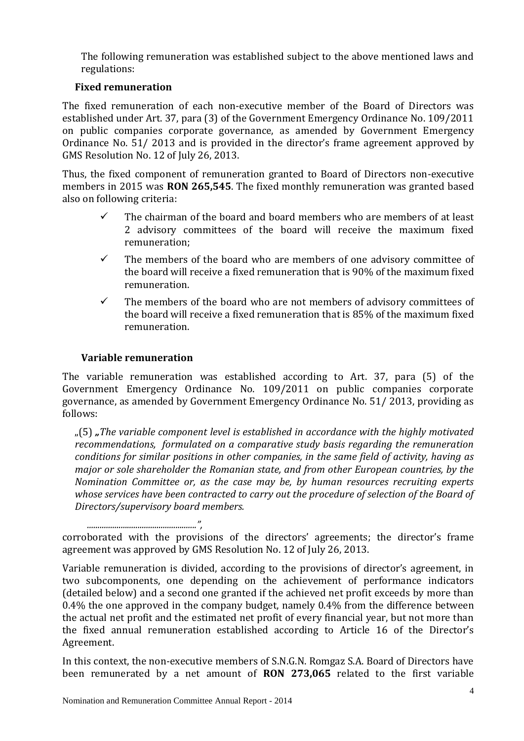The following remuneration was established subject to the above mentioned laws and regulations:

# **Fixed remuneration**

The fixed remuneration of each non-executive member of the Board of Directors was established under Art. 37, para (3) of the Government Emergency Ordinance No. 109/2011 on public companies corporate governance, as amended by Government Emergency Ordinance No. 51/ 2013 and is provided in the director's frame agreement approved by GMS Resolution No. 12 of July 26, 2013.

Thus, the fixed component of remuneration granted to Board of Directors non-executive members in 2015 was **RON 265,545**. The fixed monthly remuneration was granted based also on following criteria:

- $\checkmark$  The chairman of the board and board members who are members of at least 2 advisory committees of the board will receive the maximum fixed remuneration;
- $\checkmark$  The members of the board who are members of one advisory committee of the board will receive a fixed remuneration that is 90% of the maximum fixed remuneration.
- $\checkmark$  The members of the board who are not members of advisory committees of the board will receive a fixed remuneration that is 85% of the maximum fixed remuneration.

# **Variable remuneration**

The variable remuneration was established according to Art. 37, para (5) of the Government Emergency Ordinance No. 109/2011 on public companies corporate governance, as amended by Government Emergency Ordinance No. 51/ 2013, providing as follows:

"(5) *"The variable component level is established in accordance with the highly motivated recommendations, formulated on a comparative study basis regarding the remuneration conditions for similar positions in other companies, in the same field of activity, having as major or sole shareholder the Romanian state, and from other European countries, by the Nomination Committee or, as the case may be, by human resources recruiting experts whose services have been contracted to carry out the procedure of selection of the Board of Directors/supervisory board members.*

*....................................................",* corroborated with the provisions of the directors' agreements; the director's frame agreement was approved by GMS Resolution No. 12 of July 26, 2013.

Variable remuneration is divided, according to the provisions of director's agreement, in two subcomponents, one depending on the achievement of performance indicators (detailed below) and a second one granted if the achieved net profit exceeds by more than 0.4% the one approved in the company budget, namely 0.4% from the difference between the actual net profit and the estimated net profit of every financial year, but not more than the fixed annual remuneration established according to Article 16 of the Director's Agreement.

In this context, the non-executive members of S.N.G.N. Romgaz S.A. Board of Directors have been remunerated by a net amount of **RON 273,065** related to the first variable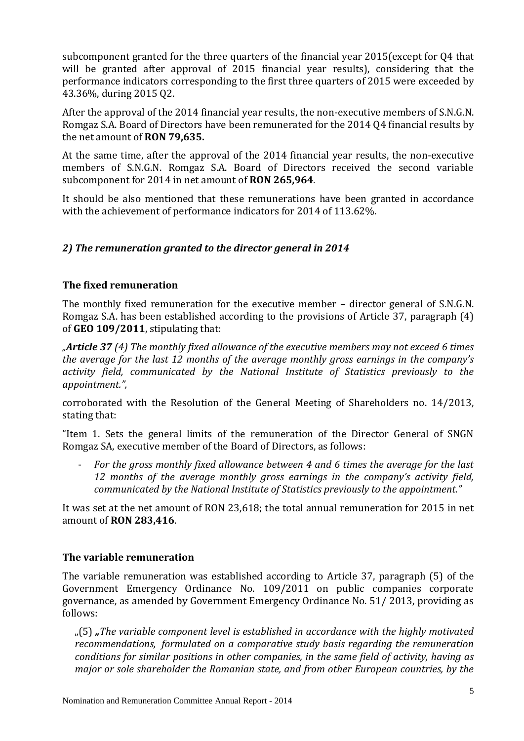subcomponent granted for the three quarters of the financial year 2015(except for Q4 that will be granted after approval of 2015 financial year results), considering that the performance indicators corresponding to the first three quarters of 2015 were exceeded by 43.36%, during 2015 Q2.

After the approval of the 2014 financial year results, the non-executive members of S.N.G.N. Romgaz S.A. Board of Directors have been remunerated for the 2014 Q4 financial results by the net amount of **RON 79,635.**

At the same time, after the approval of the 2014 financial year results, the non-executive members of S.N.G.N. Romgaz S.A. Board of Directors received the second variable subcomponent for 2014 in net amount of **RON 265,964**.

It should be also mentioned that these remunerations have been granted in accordance with the achievement of performance indicators for 2014 of 113.62%.

# *2) The remuneration granted to the director general in 2014*

## **The fixed remuneration**

The monthly fixed remuneration for the executive member – director general of S.N.G.N. Romgaz S.A. has been established according to the provisions of Article 37, paragraph (4) of **GEO 109/2011**, stipulating that:

*"Article 37 (4) The monthly fixed allowance of the executive members may not exceed 6 times the average for the last 12 months of the average monthly gross earnings in the company's activity field, communicated by the National Institute of Statistics previously to the appointment.",* 

corroborated with the Resolution of the General Meeting of Shareholders no. 14/2013, stating that:

"Item 1. Sets the general limits of the remuneration of the Director General of SNGN Romgaz SA, executive member of the Board of Directors, as follows:

For the gross monthly fixed allowance between 4 and 6 times the average for the last *12 months of the average monthly gross earnings in the company's activity field, communicated by the National Institute of Statistics previously to the appointment."*

It was set at the net amount of RON 23,618; the total annual remuneration for 2015 in net amount of **RON 283,416**.

## **The variable remuneration**

The variable remuneration was established according to Article 37, paragraph (5) of the Government Emergency Ordinance No. 109/2011 on public companies corporate governance, as amended by Government Emergency Ordinance No. 51/ 2013, providing as follows:

"(5) *"The variable component level is established in accordance with the highly motivated recommendations, formulated on a comparative study basis regarding the remuneration conditions for similar positions in other companies, in the same field of activity, having as major or sole shareholder the Romanian state, and from other European countries, by the*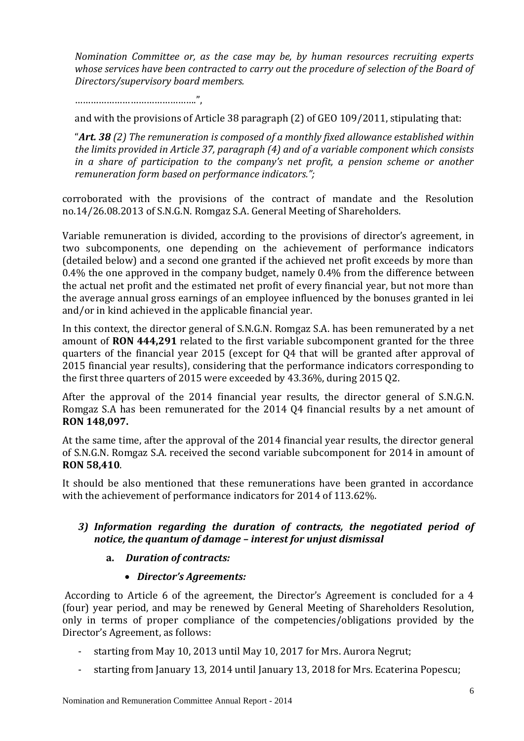*Nomination Committee or, as the case may be, by human resources recruiting experts*  whose services have been contracted to carry out the procedure of selection of the Board of *Directors/supervisory board members.*

……………………………………….",

and with the provisions of Article 38 paragraph (2) of GEO 109/2011, stipulating that:

"*Art. 38 (2) The remuneration is composed of a monthly fixed allowance established within the limits provided in Article 37, paragraph (4) and of a variable component which consists in a share of participation to the company's net profit, a pension scheme or another remuneration form based on performance indicators.";* 

corroborated with the provisions of the contract of mandate and the Resolution no.14/26.08.2013 of S.N.G.N. Romgaz S.A. General Meeting of Shareholders.

Variable remuneration is divided, according to the provisions of director's agreement, in two subcomponents, one depending on the achievement of performance indicators (detailed below) and a second one granted if the achieved net profit exceeds by more than 0.4% the one approved in the company budget, namely 0.4% from the difference between the actual net profit and the estimated net profit of every financial year, but not more than the average annual gross earnings of an employee influenced by the bonuses granted in lei and/or in kind achieved in the applicable financial year.

In this context, the director general of S.N.G.N. Romgaz S.A. has been remunerated by a net amount of **RON 444,291** related to the first variable subcomponent granted for the three quarters of the financial year 2015 (except for Q4 that will be granted after approval of 2015 financial year results), considering that the performance indicators corresponding to the first three quarters of 2015 were exceeded by 43.36%, during 2015 Q2.

After the approval of the 2014 financial year results, the director general of S.N.G.N. Romgaz S.A has been remunerated for the 2014 Q4 financial results by a net amount of **RON 148,097.**

At the same time, after the approval of the 2014 financial year results, the director general of S.N.G.N. Romgaz S.A. received the second variable subcomponent for 2014 in amount of **RON 58,410**.

It should be also mentioned that these remunerations have been granted in accordance with the achievement of performance indicators for 2014 of 113.62%.

# *3) Information regarding the duration of contracts, the negotiated period of notice, the quantum of damage – interest for unjust dismissal*

## **a.** *Duration of contracts:*

## *Director's Agreements:*

According to Article 6 of the agreement, the Director's Agreement is concluded for a 4 (four) year period, and may be renewed by General Meeting of Shareholders Resolution, only in terms of proper compliance of the competencies/obligations provided by the Director's Agreement, as follows:

- starting from May 10, 2013 until May 10, 2017 for Mrs. Aurora Negrut;
- starting from January 13, 2014 until January 13, 2018 for Mrs. Ecaterina Popescu;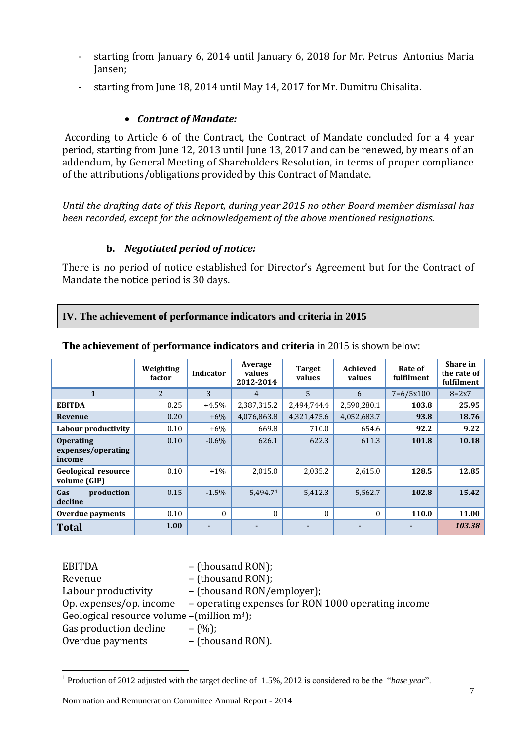- starting from January 6, 2014 until January 6, 2018 for Mr. Petrus Antonius Maria Jansen;
- starting from June 18, 2014 until May 14, 2017 for Mr. Dumitru Chisalita.

## *Contract of Mandate:*

According to Article 6 of the Contract, the Contract of Mandate concluded for a 4 year period, starting from June 12, 2013 until June 13, 2017 and can be renewed, by means of an addendum, by General Meeting of Shareholders Resolution, in terms of proper compliance of the attributions/obligations provided by this Contract of Mandate.

*Until the drafting date of this Report, during year 2015 no other Board member dismissal has been recorded, except for the acknowledgement of the above mentioned resignations.*

#### **b.** *Negotiated period of notice:*

There is no period of notice established for Director's Agreement but for the Contract of Mandate the notice period is 30 days.

#### **IV. The achievement of performance indicators and criteria in 2015**

|                                                  | Weighting<br>factor | <b>Indicator</b> | Average<br>values<br>2012-2014 | <b>Target</b><br>values | Achieved<br>values | Rate of<br>fulfilment | Share in<br>the rate of<br>fulfilment |
|--------------------------------------------------|---------------------|------------------|--------------------------------|-------------------------|--------------------|-----------------------|---------------------------------------|
|                                                  | $\overline{2}$      | 3                | 4                              | 5                       | 6                  | $7=6/5x100$           | $8 = 2x7$                             |
| <b>EBITDA</b>                                    | 0.25                | $+4.5%$          | 2,387,315.2                    | 2,494,744.4             | 2,590,280.1        | 103.8                 | 25.95                                 |
| Revenue                                          | 0.20                | $+6%$            | 4,076,863.8                    | 4,321,475.6             | 4,052,683.7        | 93.8                  | 18.76                                 |
| Labour productivity                              | 0.10                | $+6\%$           | 669.8                          | 710.0                   | 654.6              | 92.2                  | 9.22                                  |
| <b>Operating</b><br>expenses/operating<br>income | 0.10                | $-0.6\%$         | 626.1                          | 622.3                   | 611.3              | 101.8                 | 10.18                                 |
| Geological resource<br>volume (GIP)              | 0.10                | $+1\%$           | 2,015.0                        | 2,035.2                 | 2,615.0            | 128.5                 | 12.85                                 |
| production<br>Gas<br>decline                     | 0.15                | $-1.5%$          | 5.494.71                       | 5,412.3                 | 5,562.7            | 102.8                 | 15.42                                 |
| Overdue payments                                 | 0.10                | $\Omega$         | $\theta$                       | $\Omega$                | $\Omega$           | 110.0                 | 11.00                                 |
| <b>Total</b>                                     | 1.00                |                  |                                |                         |                    |                       | 103.38                                |

**The achievement of performance indicators and criteria** in 2015 is shown below:

| <b>EBITDA</b>                                             | - (thousand RON);                                  |
|-----------------------------------------------------------|----------------------------------------------------|
| Revenue                                                   | - (thousand RON);                                  |
| Labour productivity                                       | - (thousand RON/employer);                         |
| Op. expenses/op. income                                   | - operating expenses for RON 1000 operating income |
| Geological resource volume $-($ million m <sup>3</sup> ); |                                                    |
| Gas production decline                                    | $-(\%):$                                           |
| Overdue payments                                          | - (thousand RON).                                  |
|                                                           |                                                    |

<sup>&</sup>lt;sup>1</sup> Production of 2012 adjusted with the target decline of 1.5%, 2012 is considered to be the "*base year*".

 $\overline{a}$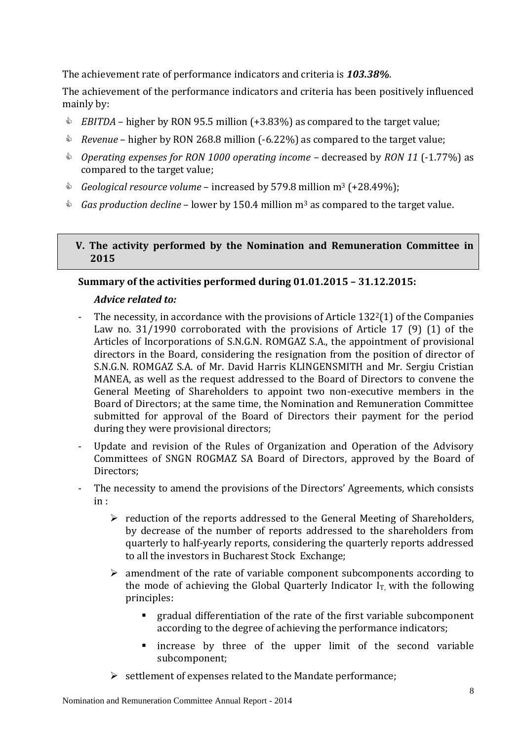The achievement rate of performance indicators and criteria is *103.38%*.

The achievement of the performance indicators and criteria has been positively influenced mainly by:

- *EBITDA* higher by RON 95.5 million (+3.83%) as compared to the target value;
- *Revenue* higher by RON 268.8 million (-6.22%) as compared to the target value;
- *Operating expenses for RON 1000 operating income –* decreased by *RON 11* (-1.77%) as compared to the target value;
- *Geological resource volume* increased by 579.8 million m<sup>3</sup> (+28.49%);
- *Gas production decline*  lower by 150.4 million m<sup>3</sup> as compared to the target value.

#### **V. The activity performed by the Nomination and Remuneration Committee in 2015**

# **Summary of the activities performed during 01.01.2015 – 31.12.2015:**

## *Advice related to:*

- The necessity, in accordance with the provisions of Article  $132<sup>2</sup>(1)$  of the Companies Law no. 31/1990 corroborated with the provisions of Article 17 (9) (1) of the Articles of Incorporations of S.N.G.N. ROMGAZ S.A., the appointment of provisional directors in the Board, considering the resignation from the position of director of S.N.G.N. ROMGAZ S.A. of Mr. David Harris KLINGENSMITH and Mr. Sergiu Cristian MANEA, as well as the request addressed to the Board of Directors to convene the General Meeting of Shareholders to appoint two non-executive members in the Board of Directors; at the same time, the Nomination and Remuneration Committee submitted for approval of the Board of Directors their payment for the period during they were provisional directors;
- Update and revision of the Rules of Organization and Operation of the Advisory Committees of SNGN ROGMAZ SA Board of Directors, approved by the Board of Directors;
- The necessity to amend the provisions of the Directors' Agreements, which consists in :
	- $\triangleright$  reduction of the reports addressed to the General Meeting of Shareholders, by decrease of the number of reports addressed to the shareholders from quarterly to half-yearly reports, considering the quarterly reports addressed to all the investors in Bucharest Stock Exchange;
	- $\triangleright$  amendment of the rate of variable component subcomponents according to the mode of achieving the Global Quarterly Indicator  $I<sub>T</sub>$  with the following principles:
		- gradual differentiation of the rate of the first variable subcomponent according to the degree of achieving the performance indicators;
		- **n** increase by three of the upper limit of the second variable subcomponent;
	- $\triangleright$  settlement of expenses related to the Mandate performance;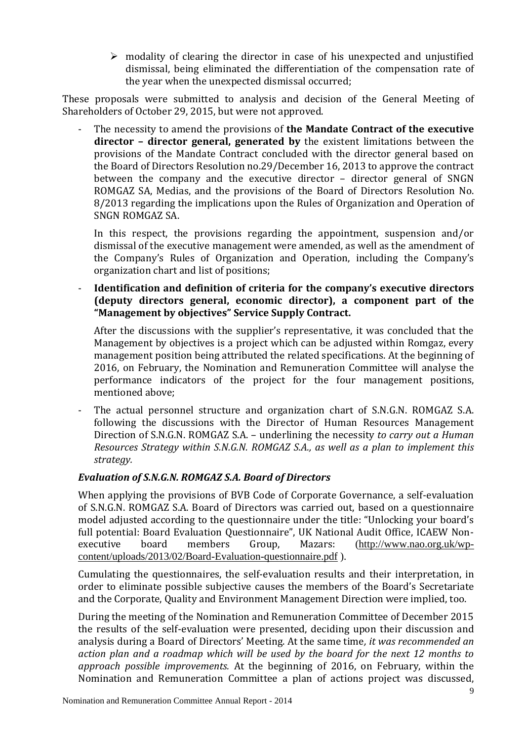$\triangleright$  modality of clearing the director in case of his unexpected and unjustified dismissal, being eliminated the differentiation of the compensation rate of the year when the unexpected dismissal occurred;

These proposals were submitted to analysis and decision of the General Meeting of Shareholders of October 29, 2015, but were not approved.

The necessity to amend the provisions of **the Mandate Contract of the executive director – director general, generated by** the existent limitations between the provisions of the Mandate Contract concluded with the director general based on the Board of Directors Resolution no.29/December 16, 2013 to approve the contract between the company and the executive director – director general of SNGN ROMGAZ SA, Medias, and the provisions of the Board of Directors Resolution No. 8/2013 regarding the implications upon the Rules of Organization and Operation of SNGN ROMGAZ SA.

In this respect, the provisions regarding the appointment, suspension and/or dismissal of the executive management were amended, as well as the amendment of the Company's Rules of Organization and Operation, including the Company's organization chart and list of positions;

- **Identification and definition of criteria for the company's executive directors (deputy directors general, economic director), a component part of the "Management by objectives" Service Supply Contract.** 

After the discussions with the supplier's representative, it was concluded that the Management by objectives is a project which can be adjusted within Romgaz, every management position being attributed the related specifications. At the beginning of 2016, on February, the Nomination and Remuneration Committee will analyse the performance indicators of the project for the four management positions, mentioned above;

- The actual personnel structure and organization chart of S.N.G.N. ROMGAZ S.A. following the discussions with the Director of Human Resources Management Direction of S.N.G.N. ROMGAZ S.A. – underlining the necessity *to carry out a Human Resources Strategy within S.N.G.N. ROMGAZ S.A., as well as a plan to implement this strategy.*

# *Evaluation of S.N.G.N. ROMGAZ S.A. Board of Directors*

When applying the provisions of BVB Code of Corporate Governance, a self-evaluation of S.N.G.N. ROMGAZ S.A. Board of Directors was carried out, based on a questionnaire model adjusted according to the questionnaire under the title: "Unlocking your board's full potential: Board Evaluation Questionnaire", UK National Audit Office, ICAEW Nonexecutive board members Group, Mazars: [\(http://www.nao.org.uk/wp](http://www.nao.org.uk/wp-content/uploads/2013/02/Board-Evaluation-questionnaire.pdf)[content/uploads/2013/02/Board-Evaluation-questionnaire.pdf](http://www.nao.org.uk/wp-content/uploads/2013/02/Board-Evaluation-questionnaire.pdf) ).

Cumulating the questionnaires, the self-evaluation results and their interpretation, in order to eliminate possible subjective causes the members of the Board's Secretariate and the Corporate, Quality and Environment Management Direction were implied, too.

During the meeting of the Nomination and Remuneration Committee of December 2015 the results of the self-evaluation were presented, deciding upon their discussion and analysis during a Board of Directors' Meeting. At the same time*, it was recommended an action plan and a roadmap which will be used by the board for the next 12 months to approach possible improvements.* At the beginning of 2016, on February, within the Nomination and Remuneration Committee a plan of actions project was discussed,